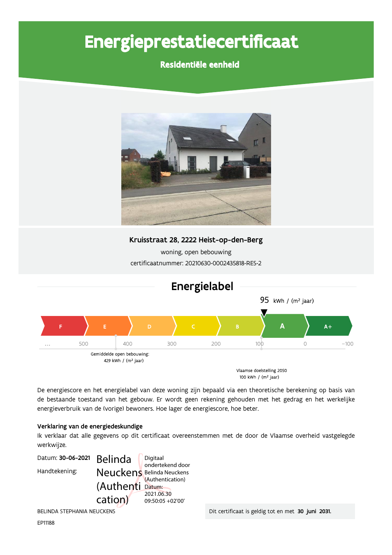# Energieprestatiecertificaat

### Residentiële eenheid



Kruisstraat 28, 2222 Heist-op-den-Berg

woning, open bebouwing certificaatnummer: 20210630-0002435818-RES-2



De energiescore en het energielabel van deze woning zijn bepaald via een theoretische berekening op basis van de bestaande toestand van het gebouw. Er wordt geen rekening gehouden met het gedrag en het werkelijke energieverbruik van de (vorige) bewoners. Hoe lager de energiescore, hoe beter.

#### Verklaring van de energiedeskundige

Ik verklaar dat alle gegevens op dit certificaat overeenstemmen met de door de Vlaamse overheid vastgelegde werkwijze.



BELINDA STEPHANIA NEUCKENS

Dit certificaat is geldig tot en met 30 juni 2031.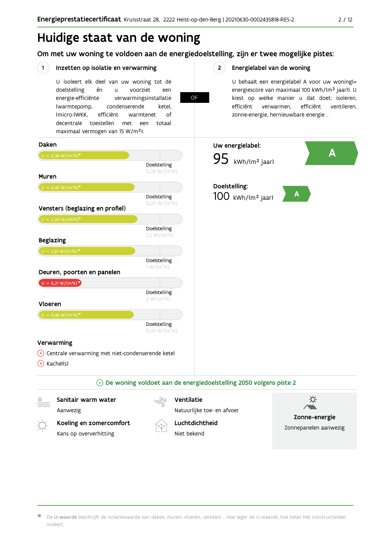### Huidige staat van de woning

Om met uw woning te voldoen aan de energiedoelstelling, zijn er twee mogelijke pistes:

**OF** 

#### $(1)$ Inzetten op isolatie en verwarming

U isoleert elk deel van uw woning tot de én voorziet doelstelling  $\mathbf{u}$ een energie-efficiënte verwarmingsinstallatie (warmtepomp, condenserende ketel. (micro-)WKK. efficiënt warmtenet  $\bigcap_{ }$ decentrale toestellen met een totaal maximaal vermogen van 15 W/m<sup>2</sup>).

#### $2^{\circ}$ Energielabel van de woning

U behaalt een energielabel A voor uw woning(= energiescore van maximaal 100 kWh/(m<sup>2</sup> jaar)). U kiest op welke manier u dat doet: isoleren, efficiënt efficiënt ventileren, verwarmen, zonne-energie, hernieuwbare energie ...



De U-waarde beschrijft de isolatiewaarde van daken, muren, vloeren, vensters ... Hoe lager de U-waarde, hoe beter het constructiedeel isoleert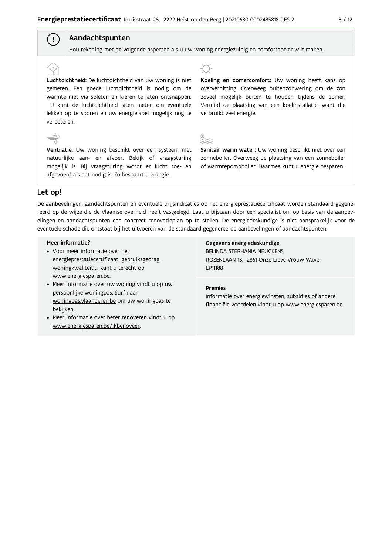#### Aandachtspunten

Hou rekening met de volgende aspecten als u uw woning energiezuinig en comfortabeler wilt maken.

#### Luchtdichtheid: De luchtdichtheid van uw woning is niet gemeten. Een goede luchtdichtheid is nodig om de warmte niet via spleten en kieren te laten ontsnappen. U kunt de luchtdichtheid laten meten om eventuele lekken op te sporen en uw energielabel mogelijk nog te verbeteren.

Ventilatie: Uw woning beschikt over een systeem met natuurlijke aan- en afvoer. Bekijk of vraagsturing mogelijk is. Bij vraagsturing wordt er lucht toe- en afgevoerd als dat nodig is. Zo bespaart u energie.

-T

Koeling en zomercomfort: Uw woning heeft kans op oververhitting. Overweeg buitenzonwering om de zon zoveel mogelijk buiten te houden tijdens de zomer. Vermijd de plaatsing van een koelinstallatie, want die verbruikt veel energie.



Sanitair warm water: Uw woning beschikt niet over een zonneboiler. Overweeg de plaatsing van een zonneboiler of warmtepompboiler. Daarmee kunt u energie besparen.

#### Let op!

 $\stackrel{90}{\equiv}$ 

 $\left( \begin{array}{c} 1 \end{array} \right)$ 

De aanbevelingen, aandachtspunten en eventuele prijsindicaties op het energieprestatiecertificaat worden standaard gegenereerd op de wijze die de Vlaamse overheid heeft vastgelegd. Laat u bijstaan door een specialist om op basis van de aanbevelingen en aandachtspunten een concreet renovatieplan op te stellen. De energiedeskundige is niet aansprakelijk voor de eventuele schade die ontstaat bij het uitvoeren van de standaard gegenereerde aanbevelingen of aandachtspunten.

#### Meer informatie?

- Voor meer informatie over het energieprestatiecertificaat, gebruiksgedrag, woningkwaliteit ... kunt u terecht op www.energiesparen.be.
- Meer informatie over uw woning vindt u op uw persoonlijke woningpas. Surf naar woningpas.vlaanderen.be om uw woningpas te bekijken.
- Meer informatie over beter renoveren vindt u op www.energiesparen.be/ikbenoveer.

#### Gegevens energiedeskundige:

BELINDA STEPHANIA NEUCKENS ROZENLAAN 13, 2861 Onze-Lieve-Vrouw-Waver EP11188

#### **Premies**

Informatie over energiewinsten, subsidies of andere financiële voordelen vindt u op www.energiesparen.be.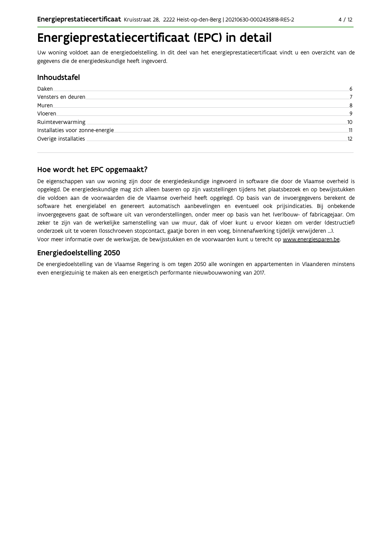### Energieprestatiecertificaat (EPC) in detail

Uw woning voldoet aan de energiedoelstelling. In dit deel van het energieprestatiecertificaat vindt u een overzicht van de gegevens die de energiedeskundige heeft ingevoerd.

#### **Inhoudstafel**

| Daken                           | 6  |
|---------------------------------|----|
| Vensters en deuren              |    |
| Muren.                          | 8  |
| Vloeren.                        | q  |
| Ruimteverwarming                | 10 |
| Installaties voor zonne-energie | 11 |
| Overige installaties            | 12 |
|                                 |    |

#### Hoe wordt het EPC opgemaakt?

De eigenschappen van uw woning zijn door de energiedeskundige ingevoerd in software die door de Vlaamse overheid is opgelegd. De energiedeskundige mag zich alleen baseren op zijn vaststellingen tijdens het plaatsbezoek en op bewijsstukken die voldoen aan de voorwaarden die de Vlaamse overheid heeft opgelegd. Op basis van de invoergegevens berekent de software het energielabel en genereert automatisch aanbevelingen en eventueel ook prijsindicaties. Bij onbekende invoergegevens gaat de software uit van veronderstellingen, onder meer op basis van het (ver)bouw- of fabricagejaar. Om zeker te zijn van de werkelijke samenstelling van uw muur, dak of vloer kunt u ervoor kiezen om verder (destructief) onderzoek uit te voeren (losschroeven stopcontact, gaatje boren in een voeg, binnenafwerking tijdelijk verwijderen ...). Voor meer informatie over de werkwijze, de bewijsstukken en de voorwaarden kunt u terecht op www.energiesparen.be.

#### Energiedoelstelling 2050

De energiedoelstelling van de Vlaamse Regering is om tegen 2050 alle woningen en appartementen in Vlaanderen minstens even energiezuinig te maken als een energetisch performante nieuwbouwwoning van 2017.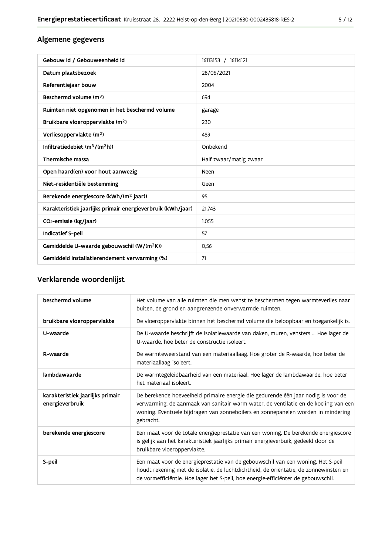#### Algemene gegevens

| Gebouw id / Gebouweenheid id                                | 16113153 / 16114121    |
|-------------------------------------------------------------|------------------------|
| Datum plaatsbezoek                                          | 28/06/2021             |
| Referentiejaar bouw                                         | 2004                   |
| Beschermd volume (m <sup>3</sup> )                          | 694                    |
| Ruimten niet opgenomen in het beschermd volume              | garage                 |
| Bruikbare vloeroppervlakte (m <sup>2</sup> )                | 230                    |
| Verliesoppervlakte (m <sup>2</sup> )                        | 489                    |
| Infiltratiedebiet $(m^3/(m^2h))$                            | Onbekend               |
| Thermische massa                                            | Half zwaar/matig zwaar |
| Open haard(en) voor hout aanwezig                           | Neen                   |
| Niet-residentiële bestemming                                | Geen                   |
| Berekende energiescore (kWh/(m <sup>2</sup> jaar))          | 95                     |
| Karakteristiek jaarlijks primair energieverbruik (kWh/jaar) | 21.743                 |
| CO <sub>2</sub> -emissie (kg/jaar)                          | 1.055                  |
| Indicatief S-peil                                           | 57                     |
| Gemiddelde U-waarde gebouwschil (W/(m <sup>2</sup> K))      | 0,56                   |
| Gemiddeld installatierendement verwarming (%)               | 71                     |

### Verklarende woordenlijst

| beschermd volume                                    | Het volume van alle ruimten die men wenst te beschermen tegen warmteverlies naar<br>buiten, de grond en aangrenzende onverwarmde ruimten.                                                                                                                                 |
|-----------------------------------------------------|---------------------------------------------------------------------------------------------------------------------------------------------------------------------------------------------------------------------------------------------------------------------------|
| bruikbare vloeroppervlakte                          | De vloeroppervlakte binnen het beschermd volume die beloopbaar en toegankelijk is.                                                                                                                                                                                        |
| U-waarde                                            | De U-waarde beschrijft de isolatiewaarde van daken, muren, vensters  Hoe lager de<br>U-waarde, hoe beter de constructie isoleert.                                                                                                                                         |
| R-waarde                                            | De warmteweerstand van een materiaallaag. Hoe groter de R-waarde, hoe beter de<br>materiaallaag isoleert.                                                                                                                                                                 |
| lambdawaarde                                        | De warmtegeleidbaarheid van een materiaal. Hoe lager de lambdawaarde, hoe beter<br>het materiaal isoleert.                                                                                                                                                                |
| karakteristiek jaarlijks primair<br>energieverbruik | De berekende hoeveelheid primaire energie die gedurende één jaar nodig is voor de<br>verwarming, de aanmaak van sanitair warm water, de ventilatie en de koeling van een<br>woning. Eventuele bijdragen van zonneboilers en zonnepanelen worden in mindering<br>gebracht. |
| berekende energiescore                              | Een maat voor de totale energieprestatie van een woning. De berekende energiescore<br>is gelijk aan het karakteristiek jaarlijks primair energieverbuik, gedeeld door de<br>bruikbare vloeroppervlakte.                                                                   |
| S-peil                                              | Een maat voor de energieprestatie van de gebouwschil van een woning. Het S-peil<br>houdt rekening met de isolatie, de luchtdichtheid, de oriëntatie, de zonnewinsten en<br>de vormefficiëntie. Hoe lager het S-peil, hoe energie-efficiënter de gebouwschil.              |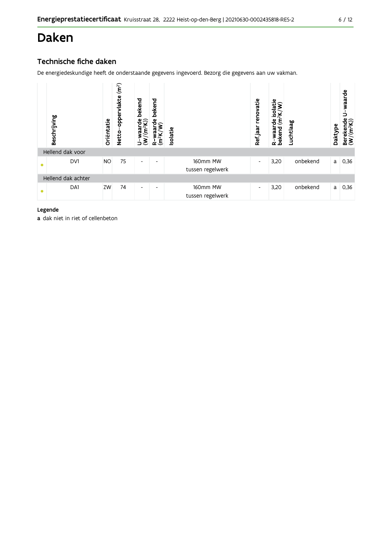## **Daken**

#### Technische fiche daken

De energiedeskundige heeft de onderstaande gegevens ingevoerd. Bezorg die gegevens aan uw vakman.



#### Legende

a dak niet in riet of cellenbeton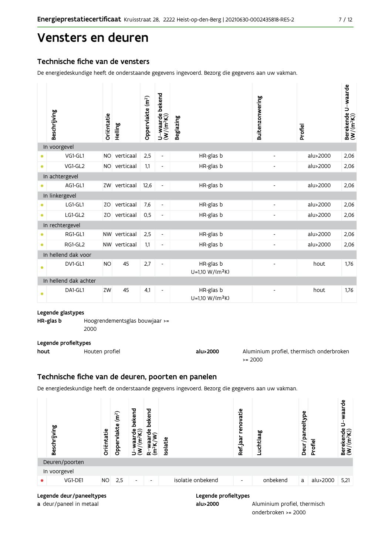### Vensters en deuren

#### Technische fiche van de vensters

De energiedeskundige heeft de onderstaande gegevens ingevoerd. Bezorg die gegevens aan uw vakman.

|           | Beschrijving          | Oriëntatie | Helling      | Oppervlakte (m <sup>2</sup> ) | bekend<br>$U$ –waarde l $(W/(m^2K))$ | <b>Beglazing</b>                         | Buitenzonwering          | Profiel  | U-waarde<br>Berekende l<br>(W/(m <sup>2</sup> K)) |
|-----------|-----------------------|------------|--------------|-------------------------------|--------------------------------------|------------------------------------------|--------------------------|----------|---------------------------------------------------|
|           | In voorgevel          |            |              |                               |                                      |                                          |                          |          |                                                   |
|           | VG1-GL1               | <b>NO</b>  | verticaal    | 2,5                           | $\overline{\phantom{a}}$             | HR-glas b                                |                          | alu>2000 | 2,06                                              |
| $\bullet$ | VG1-GL2               | <b>NO</b>  | verticaal    | 1,1                           | $\overline{\phantom{a}}$             | HR-glas b                                |                          | alu>2000 | 2,06                                              |
|           | In achtergevel        |            |              |                               |                                      |                                          |                          |          |                                                   |
|           | AG1-GL1               | ZW         | verticaal    | 12,6                          |                                      | HR-glas b                                |                          | alu>2000 | 2,06                                              |
|           | In linkergevel        |            |              |                               |                                      |                                          |                          |          |                                                   |
|           | LG1-GL1               | ZO         | verticaal    | 7,6                           | $\overline{\phantom{a}}$             | HR-glas b                                |                          | alu>2000 | 2,06                                              |
| $\bullet$ | LG1-GL2               | ZO         | verticaal    | 0,5                           | $\overline{\phantom{a}}$             | HR-glas b                                |                          | alu>2000 | 2,06                                              |
|           | In rechtergevel       |            |              |                               |                                      |                                          |                          |          |                                                   |
|           | RG1-GL1               | <b>NW</b>  | verticaal    | 2,5                           | $\overline{\phantom{a}}$             | HR-glas b                                |                          | alu>2000 | 2,06                                              |
| $\bullet$ | RG1-GL2               |            | NW verticaal | 1,1                           | $\overline{\phantom{a}}$             | HR-glas b                                |                          | alu>2000 | 2,06                                              |
|           | In hellend dak voor   |            |              |                               |                                      |                                          |                          |          |                                                   |
| ٠         | DV1-GL1               | <b>NO</b>  | 45           | 2,7                           | $\overline{\phantom{a}}$             | HR-glas b<br>U=1,10 W/(m <sup>2</sup> K) |                          | hout     | 1.76                                              |
|           | In hellend dak achter |            |              |                               |                                      |                                          |                          |          |                                                   |
| ٠         | DA1-GL1               | ZW         | 45           | 4,1                           | $\overline{\phantom{a}}$             | HR-glas b<br>U=1,10 W/(m <sup>2</sup> K) | $\overline{\phantom{a}}$ | hout     | 1,76                                              |

#### Legende glastypes

HR-glas b Hoogrendementsglas bouwjaar >=

2000

#### Legende profieltypes

| hout | Houten profiel | alu>2000 | Aluminium profiel, thermisch onderbroken |
|------|----------------|----------|------------------------------------------|
|      |                |          | $\ge 2000$                               |

#### Technische fiche van de deuren, poorten en panelen

De energiedeskundige heeft de onderstaande gegevens ingevoerd. Bezorg die gegevens aan uw vakman.



alu>2000

Legende deur/paneeltypes

a deur/paneel in metaal

Aluminium profiel, thermisch

 $7/12$ 

onderbroken >= 2000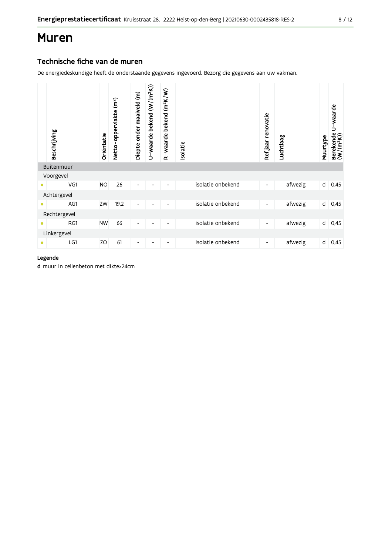### **Muren**

#### Technische fiche van de muren

De energiedeskundige heeft de onderstaande gegevens ingevoerd. Bezorg die gegevens aan uw vakman.

|              | Beschrijving | Oriëntatie | Netto-oppervlakte (m <sup>2</sup> ) | Diepte onder maaiveld (m) | U-waarde bekend (W/(m <sup>2</sup> K)) | $(m^2K/W)$<br>bekend<br>R-waarde | Isolatie |                   | Ref.jaar renovatie       | Luchtlaag | Muurtype     | U waarde<br>Berekende<br>(W/(m <sup>2</sup> K)) |
|--------------|--------------|------------|-------------------------------------|---------------------------|----------------------------------------|----------------------------------|----------|-------------------|--------------------------|-----------|--------------|-------------------------------------------------|
|              | Buitenmuur   |            |                                     |                           |                                        |                                  |          |                   |                          |           |              |                                                 |
|              | Voorgevel    |            |                                     |                           |                                        |                                  |          |                   |                          |           |              |                                                 |
| $\bullet$    | VG1          | <b>NO</b>  | 26                                  | $\overline{\phantom{a}}$  |                                        |                                  |          | isolatie onbekend | $\overline{\phantom{a}}$ | afwezig   | d            | 0,45                                            |
|              | Achtergevel  |            |                                     |                           |                                        |                                  |          |                   |                          |           |              |                                                 |
| $\bullet$    | AG1          | ZW         | 19,2                                | $\overline{\phantom{a}}$  | $\overline{\phantom{0}}$               |                                  |          | isolatie onbekend | $\overline{\phantom{0}}$ | afwezig   | d            | 0,45                                            |
| Rechtergevel |              |            |                                     |                           |                                        |                                  |          |                   |                          |           |              |                                                 |
| $\bullet$    | RG1          | <b>NW</b>  | 66                                  | $\overline{\phantom{a}}$  |                                        |                                  |          | isolatie onbekend | $\overline{\phantom{a}}$ | afwezig   | $\mathsf{d}$ | 0,45                                            |
|              | Linkergevel  |            |                                     |                           |                                        |                                  |          |                   |                          |           |              |                                                 |
| $\bullet$    | LG1          | ZO         | 61                                  | -                         |                                        |                                  |          | isolatie onbekend | $\overline{\phantom{a}}$ | afwezig   | d            | 0,45                                            |

#### Legende

d muur in cellenbeton met dikte>24cm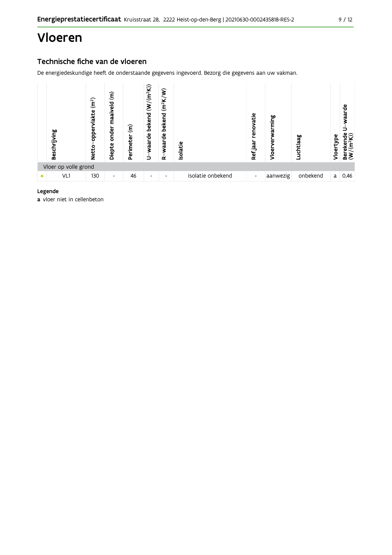### Vloeren

#### Technische fiche van de vloeren

De energiedeskundige heeft de onderstaande gegevens ingevoerd. Bezorg die gegevens aan uw vakman.



#### Legende

a vloer niet in cellenbeton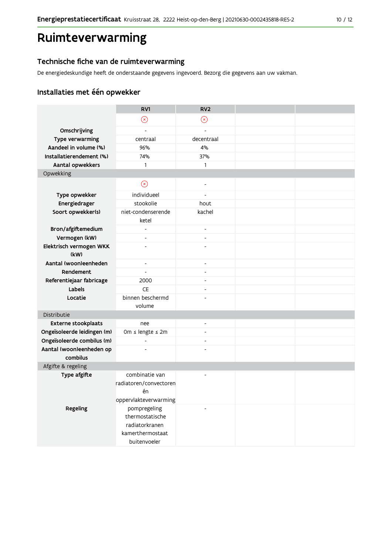### Ruimteverwarming

#### Technische fiche van de ruimteverwarming

De energiedeskundige heeft de onderstaande gegevens ingevoerd. Bezorg die gegevens aan uw vakman.

### Installaties met één opwekker

|                                      | RV1                      | RV <sub>2</sub>          |  |
|--------------------------------------|--------------------------|--------------------------|--|
|                                      | $\circledR$              | $\odot$                  |  |
| Omschrijving                         | $\overline{\phantom{a}}$ | $\blacksquare$           |  |
| Type verwarming                      | centraal                 | decentraal               |  |
| Aandeel in volume (%)                | 96%                      | 4%                       |  |
| Installatierendement (%)             | 74%                      | 37%                      |  |
| Aantal opwekkers                     | $\mathbf{1}$             | $\mathbf{1}$             |  |
| Opwekking                            |                          |                          |  |
|                                      | $\odot$                  | $\blacksquare$           |  |
| Type opwekker                        | individueel              | $\overline{a}$           |  |
| Energiedrager                        | stookolie                | hout                     |  |
| Soort opwekker(s)                    | niet-condenserende       | kachel                   |  |
|                                      | ketel                    |                          |  |
| Bron/afgiftemedium                   | $\overline{\phantom{a}}$ | $\overline{\phantom{a}}$ |  |
| Vermogen (kW)                        | $\blacksquare$           | $\overline{a}$           |  |
| Elektrisch vermogen WKK              |                          |                          |  |
| (kW)                                 |                          |                          |  |
| Aantal (woon)eenheden                | $\overline{\phantom{a}}$ | $\blacksquare$           |  |
| Rendement                            | $\overline{a}$           | $\overline{a}$           |  |
| Referentiejaar fabricage             | 2000                     | ÷,                       |  |
| Labels                               | <b>CE</b>                | ÷,                       |  |
| Locatie                              | binnen beschermd         |                          |  |
|                                      | volume                   |                          |  |
| Distributie                          |                          |                          |  |
| <b>Externe stookplaats</b>           | nee                      | $\overline{a}$           |  |
| Ongeïsoleerde leidingen (m)          | Om ≤ lengte ≤ 2m         | $\blacksquare$           |  |
| Ongeïsoleerde combilus (m)           | $\overline{a}$           | $\overline{a}$           |  |
| Aantal (woon)eenheden op<br>combilus | ÷,                       |                          |  |
| Afgifte & regeling                   |                          |                          |  |
| Type afgifte                         | combinatie van           |                          |  |
|                                      | radiatoren/convectoren   |                          |  |
|                                      | én                       |                          |  |
|                                      | oppervlakteverwarming    |                          |  |
| Regeling                             | pompregeling             | $\overline{\phantom{a}}$ |  |
|                                      | thermostatische          |                          |  |
|                                      | radiatorkranen           |                          |  |
|                                      | kamerthermostaat         |                          |  |
|                                      | buitenvoeler             |                          |  |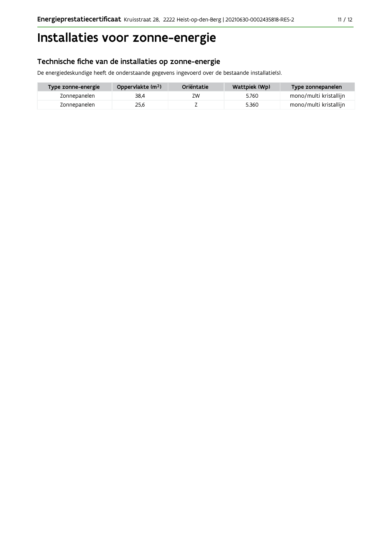## Installaties voor zonne-energie

#### Technische fiche van de installaties op zonne-energie

De energiedeskundige heeft de onderstaande gegevens ingevoerd over de bestaande installatie(s).

| Type zonne-energie | Oppervlakte (m <sup>2</sup> ) | Oriëntatie | Wattpiek (Wp) | Type zonnepanelen      |
|--------------------|-------------------------------|------------|---------------|------------------------|
| Zonnepanelen       | 38.4                          | ZW         | 5.760         | mono/multi kristallijn |
| Zonnepanelen       | 25.6                          |            | 5.360         | mono/multi kristallijn |